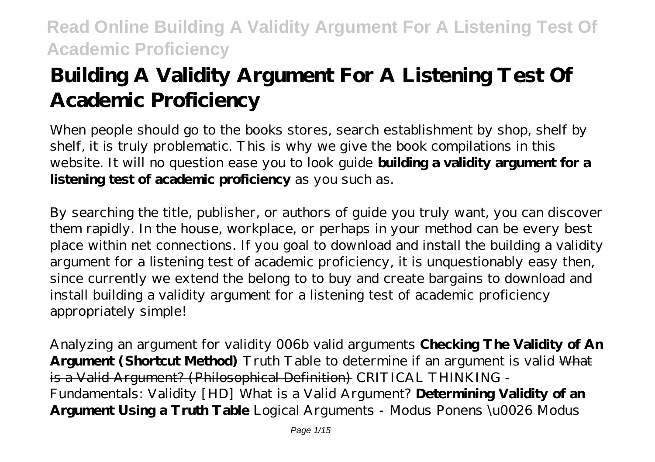# **Building A Validity Argument For A Listening Test Of Academic Proficiency**

When people should go to the books stores, search establishment by shop, shelf by shelf, it is truly problematic. This is why we give the book compilations in this website. It will no question ease you to look guide **building a validity argument for a listening test of academic proficiency** as you such as.

By searching the title, publisher, or authors of guide you truly want, you can discover them rapidly. In the house, workplace, or perhaps in your method can be every best place within net connections. If you goal to download and install the building a validity argument for a listening test of academic proficiency, it is unquestionably easy then, since currently we extend the belong to to buy and create bargains to download and install building a validity argument for a listening test of academic proficiency appropriately simple!

Analyzing an argument for validity *006b valid arguments* **Checking The Validity of An Argument (Shortcut Method)** *Truth Table to determine if an argument is valid* What is a Valid Argument? (Philosophical Definition) CRITICAL THINKING - Fundamentals: Validity [HD] What is a Valid Argument? **Determining Validity of an Argument Using a Truth Table** *Logical Arguments - Modus Ponens \u0026 Modus*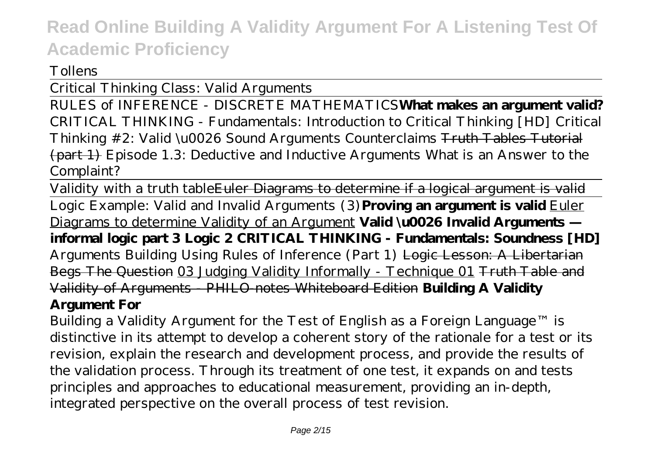#### *Tollens*

Critical Thinking Class: Valid Arguments

RULES of INFERENCE - DISCRETE MATHEMATICS**What makes an argument valid?** *CRITICAL THINKING - Fundamentals: Introduction to Critical Thinking [HD] Critical Thinking #2: Valid \u0026 Sound Arguments Counterclaims* Truth Tables Tutorial (part 1) *Episode 1.3: Deductive and Inductive Arguments What is an Answer to the Complaint?*

Validity with a truth table Euler Diagrams to determine if a logical argument is valid Logic Example: Valid and Invalid Arguments (3)**Proving an argument is valid** Euler Diagrams to determine Validity of an Argument **Valid \u0026 Invalid Arguments informal logic part 3 Logic 2 CRITICAL THINKING - Fundamentals: Soundness [HD]** *Arguments Building Using Rules of Inference (Part 1)* Logic Lesson: A Libertarian Begs The Question 03 Judging Validity Informally - Technique 01 Truth Table and Validity of Arguments - PHILO-notes Whiteboard Edition **Building A Validity Argument For**

Building a Validity Argument for the Test of English as a Foreign Language™ is distinctive in its attempt to develop a coherent story of the rationale for a test or its revision, explain the research and development process, and provide the results of the validation process. Through its treatment of one test, it expands on and tests principles and approaches to educational measurement, providing an in-depth, integrated perspective on the overall process of test revision.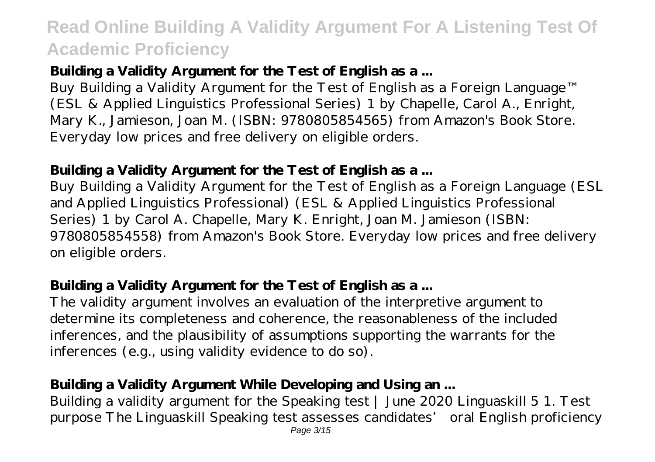#### **Building a Validity Argument for the Test of English as a ...**

Buy Building a Validity Argument for the Test of English as a Foreign Language™ (ESL & Applied Linguistics Professional Series) 1 by Chapelle, Carol A., Enright, Mary K., Jamieson, Joan M. (ISBN: 9780805854565) from Amazon's Book Store. Everyday low prices and free delivery on eligible orders.

#### **Building a Validity Argument for the Test of English as a ...**

Buy Building a Validity Argument for the Test of English as a Foreign Language (ESL and Applied Linguistics Professional) (ESL & Applied Linguistics Professional Series) 1 by Carol A. Chapelle, Mary K. Enright, Joan M. Jamieson (ISBN: 9780805854558) from Amazon's Book Store. Everyday low prices and free delivery on eligible orders.

#### **Building a Validity Argument for the Test of English as a ...**

The validity argument involves an evaluation of the interpretive argument to determine its completeness and coherence, the reasonableness of the included inferences, and the plausibility of assumptions supporting the warrants for the inferences (e.g., using validity evidence to do so).

### Building a Validity Argument While Developing and Using an ...

Building a validity argument for the Speaking test | June 2020 Linguaskill 5 1. Test purpose The Linguaskill Speaking test assesses candidates' oral English proficiency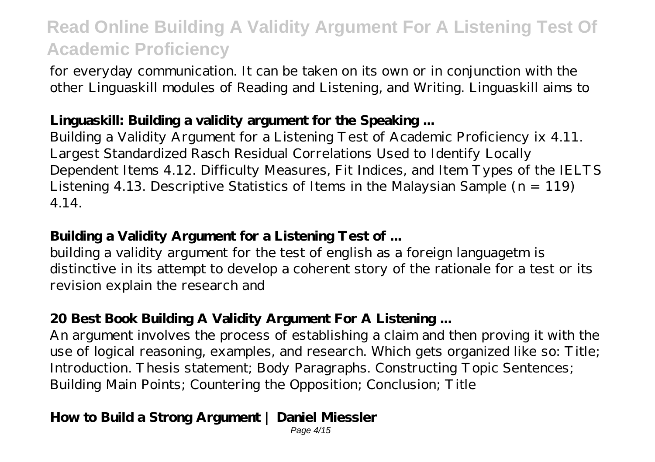for everyday communication. It can be taken on its own or in conjunction with the other Linguaskill modules of Reading and Listening, and Writing. Linguaskill aims to

#### **Linguaskill: Building a validity argument for the Speaking ...**

Building a Validity Argument for a Listening Test of Academic Proficiency ix 4.11. Largest Standardized Rasch Residual Correlations Used to Identify Locally Dependent Items 4.12. Difficulty Measures, Fit Indices, and Item Types of the IELTS Listening 4.13. Descriptive Statistics of Items in the Malaysian Sample  $(n = 119)$ 4.14.

#### **Building a Validity Argument for a Listening Test of ...**

building a validity argument for the test of english as a foreign languagetm is distinctive in its attempt to develop a coherent story of the rationale for a test or its revision explain the research and

### **20 Best Book Building A Validity Argument For A Listening ...**

An argument involves the process of establishing a claim and then proving it with the use of logical reasoning, examples, and research. Which gets organized like so: Title; Introduction. Thesis statement; Body Paragraphs. Constructing Topic Sentences; Building Main Points; Countering the Opposition; Conclusion; Title

### **How to Build a Strong Argument | Daniel Miessler**

Page 4/15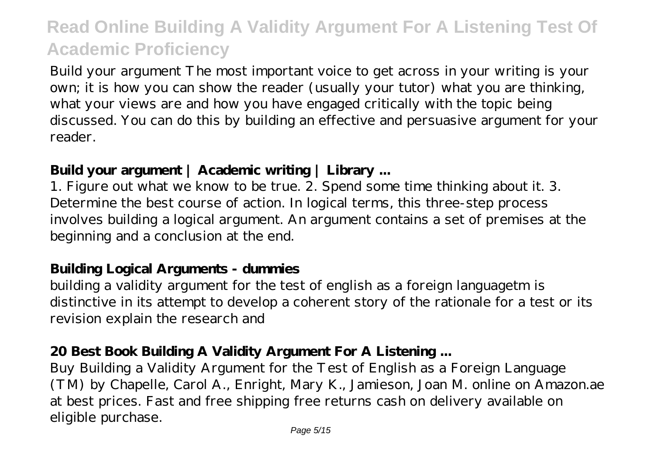Build your argument The most important voice to get across in your writing is your own; it is how you can show the reader (usually your tutor) what you are thinking, what your views are and how you have engaged critically with the topic being discussed. You can do this by building an effective and persuasive argument for your reader.

#### **Build your argument | Academic writing | Library ...**

1. Figure out what we know to be true. 2. Spend some time thinking about it. 3. Determine the best course of action. In logical terms, this three-step process involves building a logical argument. An argument contains a set of premises at the beginning and a conclusion at the end.

#### **Building Logical Arguments - dummies**

building a validity argument for the test of english as a foreign languagetm is distinctive in its attempt to develop a coherent story of the rationale for a test or its revision explain the research and

#### **20 Best Book Building A Validity Argument For A Listening ...**

Buy Building a Validity Argument for the Test of English as a Foreign Language (TM) by Chapelle, Carol A., Enright, Mary K., Jamieson, Joan M. online on Amazon.ae at best prices. Fast and free shipping free returns cash on delivery available on eligible purchase.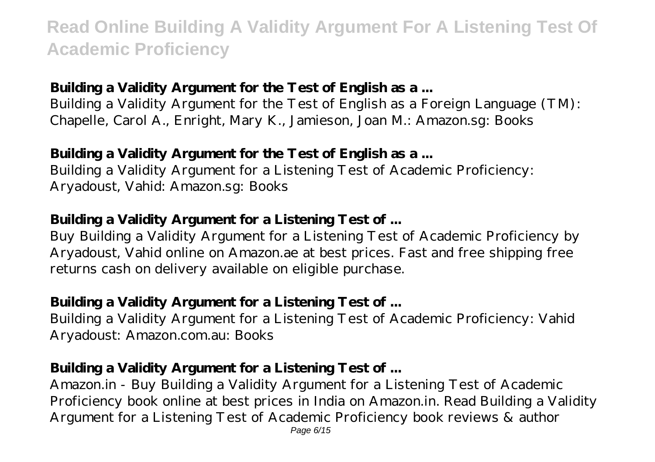### **Building a Validity Argument for the Test of English as a ...**

Building a Validity Argument for the Test of English as a Foreign Language (TM): Chapelle, Carol A., Enright, Mary K., Jamieson, Joan M.: Amazon.sg: Books

#### **Building a Validity Argument for the Test of English as a ...**

Building a Validity Argument for a Listening Test of Academic Proficiency: Aryadoust, Vahid: Amazon.sg: Books

#### **Building a Validity Argument for a Listening Test of ...**

Buy Building a Validity Argument for a Listening Test of Academic Proficiency by Aryadoust, Vahid online on Amazon.ae at best prices. Fast and free shipping free returns cash on delivery available on eligible purchase.

#### **Building a Validity Argument for a Listening Test of ...**

Building a Validity Argument for a Listening Test of Academic Proficiency: Vahid Aryadoust: Amazon.com.au: Books

#### **Building a Validity Argument for a Listening Test of ...**

Amazon.in - Buy Building a Validity Argument for a Listening Test of Academic Proficiency book online at best prices in India on Amazon.in. Read Building a Validity Argument for a Listening Test of Academic Proficiency book reviews & author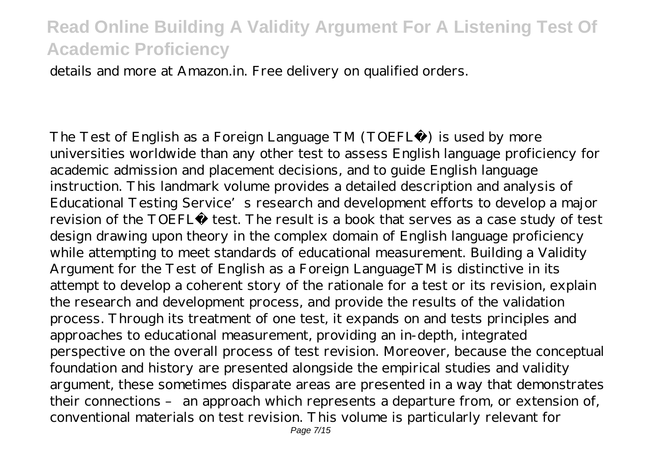details and more at Amazon.in. Free delivery on qualified orders.

The Test of English as a Foreign Language TM (TOEFL®) is used by more universities worldwide than any other test to assess English language proficiency for academic admission and placement decisions, and to guide English language instruction. This landmark volume provides a detailed description and analysis of Educational Testing Service's research and development efforts to develop a major revision of the TOEFL® test. The result is a book that serves as a case study of test design drawing upon theory in the complex domain of English language proficiency while attempting to meet standards of educational measurement. Building a Validity Argument for the Test of English as a Foreign LanguageTM is distinctive in its attempt to develop a coherent story of the rationale for a test or its revision, explain the research and development process, and provide the results of the validation process. Through its treatment of one test, it expands on and tests principles and approaches to educational measurement, providing an in-depth, integrated perspective on the overall process of test revision. Moreover, because the conceptual foundation and history are presented alongside the empirical studies and validity argument, these sometimes disparate areas are presented in a way that demonstrates their connections – an approach which represents a departure from, or extension of, conventional materials on test revision. This volume is particularly relevant for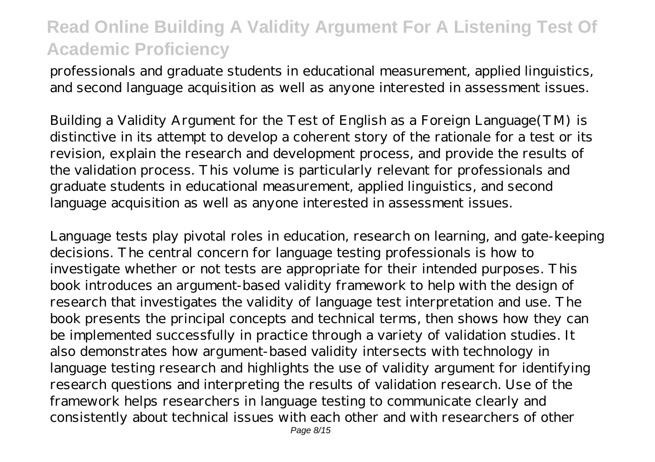professionals and graduate students in educational measurement, applied linguistics, and second language acquisition as well as anyone interested in assessment issues.

Building a Validity Argument for the Test of English as a Foreign Language(TM) is distinctive in its attempt to develop a coherent story of the rationale for a test or its revision, explain the research and development process, and provide the results of the validation process. This volume is particularly relevant for professionals and graduate students in educational measurement, applied linguistics, and second language acquisition as well as anyone interested in assessment issues.

Language tests play pivotal roles in education, research on learning, and gate-keeping decisions. The central concern for language testing professionals is how to investigate whether or not tests are appropriate for their intended purposes. This book introduces an argument-based validity framework to help with the design of research that investigates the validity of language test interpretation and use. The book presents the principal concepts and technical terms, then shows how they can be implemented successfully in practice through a variety of validation studies. It also demonstrates how argument-based validity intersects with technology in language testing research and highlights the use of validity argument for identifying research questions and interpreting the results of validation research. Use of the framework helps researchers in language testing to communicate clearly and consistently about technical issues with each other and with researchers of other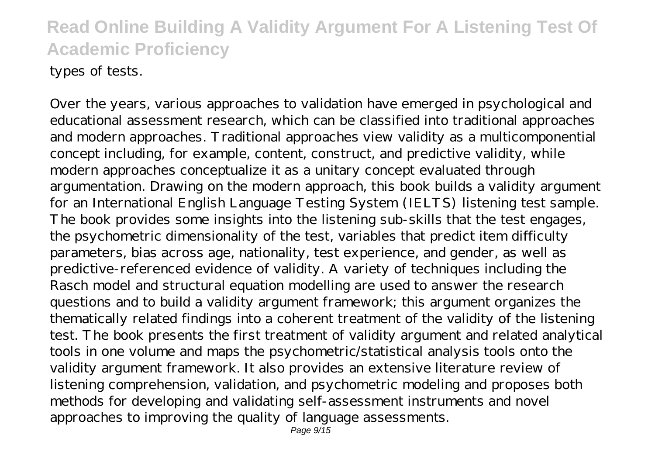types of tests.

Over the years, various approaches to validation have emerged in psychological and educational assessment research, which can be classified into traditional approaches and modern approaches. Traditional approaches view validity as a multicomponential concept including, for example, content, construct, and predictive validity, while modern approaches conceptualize it as a unitary concept evaluated through argumentation. Drawing on the modern approach, this book builds a validity argument for an International English Language Testing System (IELTS) listening test sample. The book provides some insights into the listening sub-skills that the test engages, the psychometric dimensionality of the test, variables that predict item difficulty parameters, bias across age, nationality, test experience, and gender, as well as predictive-referenced evidence of validity. A variety of techniques including the Rasch model and structural equation modelling are used to answer the research questions and to build a validity argument framework; this argument organizes the thematically related findings into a coherent treatment of the validity of the listening test. The book presents the first treatment of validity argument and related analytical tools in one volume and maps the psychometric/statistical analysis tools onto the validity argument framework. It also provides an extensive literature review of listening comprehension, validation, and psychometric modeling and proposes both methods for developing and validating self-assessment instruments and novel approaches to improving the quality of language assessments.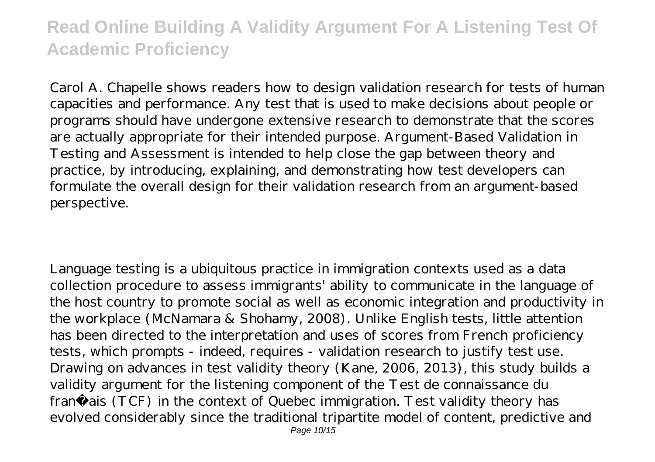Carol A. Chapelle shows readers how to design validation research for tests of human capacities and performance. Any test that is used to make decisions about people or programs should have undergone extensive research to demonstrate that the scores are actually appropriate for their intended purpose. Argument-Based Validation in Testing and Assessment is intended to help close the gap between theory and practice, by introducing, explaining, and demonstrating how test developers can formulate the overall design for their validation research from an argument-based perspective.

Language testing is a ubiquitous practice in immigration contexts used as a data collection procedure to assess immigrants' ability to communicate in the language of the host country to promote social as well as economic integration and productivity in the workplace (McNamara & Shohamy, 2008). Unlike English tests, little attention has been directed to the interpretation and uses of scores from French proficiency tests, which prompts - indeed, requires - validation research to justify test use. Drawing on advances in test validity theory (Kane, 2006, 2013), this study builds a validity argument for the listening component of the Test de connaissance du français (TCF) in the context of Quebec immigration. Test validity theory has evolved considerably since the traditional tripartite model of content, predictive and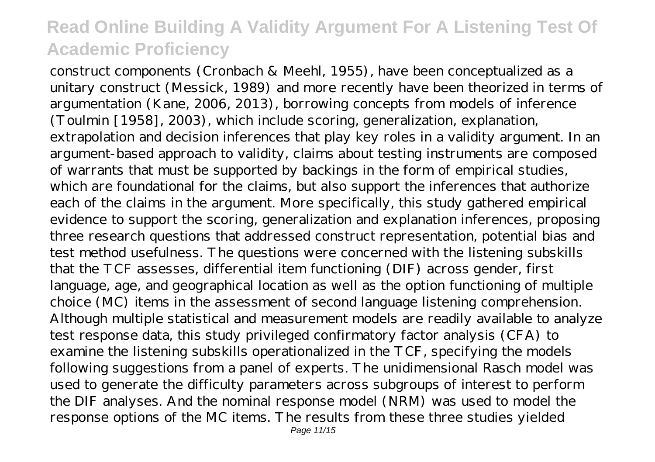construct components (Cronbach & Meehl, 1955), have been conceptualized as a unitary construct (Messick, 1989) and more recently have been theorized in terms of argumentation (Kane, 2006, 2013), borrowing concepts from models of inference (Toulmin [1958], 2003), which include scoring, generalization, explanation, extrapolation and decision inferences that play key roles in a validity argument. In an argument-based approach to validity, claims about testing instruments are composed of warrants that must be supported by backings in the form of empirical studies, which are foundational for the claims, but also support the inferences that authorize each of the claims in the argument. More specifically, this study gathered empirical evidence to support the scoring, generalization and explanation inferences, proposing three research questions that addressed construct representation, potential bias and test method usefulness. The questions were concerned with the listening subskills that the TCF assesses, differential item functioning (DIF) across gender, first language, age, and geographical location as well as the option functioning of multiple choice (MC) items in the assessment of second language listening comprehension. Although multiple statistical and measurement models are readily available to analyze test response data, this study privileged confirmatory factor analysis (CFA) to examine the listening subskills operationalized in the TCF, specifying the models following suggestions from a panel of experts. The unidimensional Rasch model was used to generate the difficulty parameters across subgroups of interest to perform the DIF analyses. And the nominal response model (NRM) was used to model the response options of the MC items. The results from these three studies yielded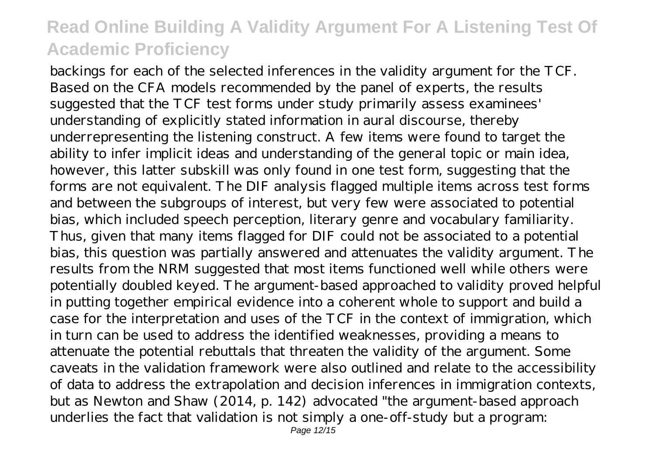backings for each of the selected inferences in the validity argument for the TCF. Based on the CFA models recommended by the panel of experts, the results suggested that the TCF test forms under study primarily assess examinees' understanding of explicitly stated information in aural discourse, thereby underrepresenting the listening construct. A few items were found to target the ability to infer implicit ideas and understanding of the general topic or main idea, however, this latter subskill was only found in one test form, suggesting that the forms are not equivalent. The DIF analysis flagged multiple items across test forms and between the subgroups of interest, but very few were associated to potential bias, which included speech perception, literary genre and vocabulary familiarity. Thus, given that many items flagged for DIF could not be associated to a potential bias, this question was partially answered and attenuates the validity argument. The results from the NRM suggested that most items functioned well while others were potentially doubled keyed. The argument-based approached to validity proved helpful in putting together empirical evidence into a coherent whole to support and build a case for the interpretation and uses of the TCF in the context of immigration, which in turn can be used to address the identified weaknesses, providing a means to attenuate the potential rebuttals that threaten the validity of the argument. Some caveats in the validation framework were also outlined and relate to the accessibility of data to address the extrapolation and decision inferences in immigration contexts, but as Newton and Shaw (2014, p. 142) advocated "the argument-based approach underlies the fact that validation is not simply a one-off-study but a program: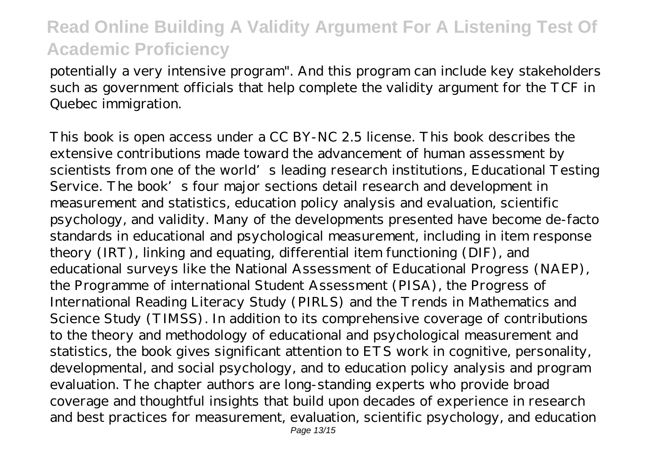potentially a very intensive program". And this program can include key stakeholders such as government officials that help complete the validity argument for the TCF in Quebec immigration.

This book is open access under a CC BY-NC 2.5 license. This book describes the extensive contributions made toward the advancement of human assessment by scientists from one of the world's leading research institutions, Educational Testing Service. The book's four major sections detail research and development in measurement and statistics, education policy analysis and evaluation, scientific psychology, and validity. Many of the developments presented have become de-facto standards in educational and psychological measurement, including in item response theory (IRT), linking and equating, differential item functioning (DIF), and educational surveys like the National Assessment of Educational Progress (NAEP), the Programme of international Student Assessment (PISA), the Progress of International Reading Literacy Study (PIRLS) and the Trends in Mathematics and Science Study (TIMSS). In addition to its comprehensive coverage of contributions to the theory and methodology of educational and psychological measurement and statistics, the book gives significant attention to ETS work in cognitive, personality, developmental, and social psychology, and to education policy analysis and program evaluation. The chapter authors are long-standing experts who provide broad coverage and thoughtful insights that build upon decades of experience in research and best practices for measurement, evaluation, scientific psychology, and education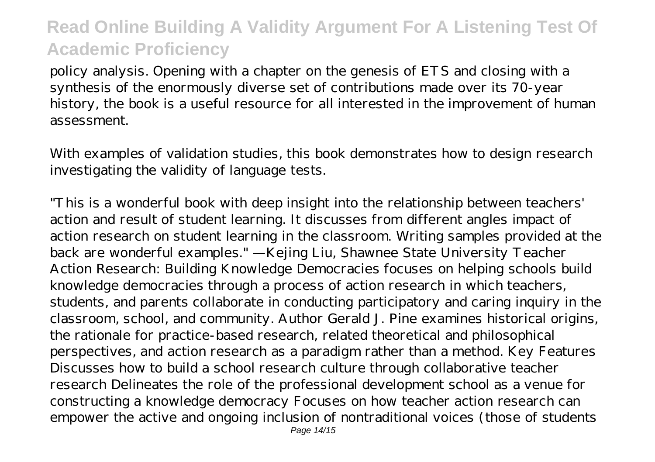policy analysis. Opening with a chapter on the genesis of ETS and closing with a synthesis of the enormously diverse set of contributions made over its 70-year history, the book is a useful resource for all interested in the improvement of human assessment.

With examples of validation studies, this book demonstrates how to design research investigating the validity of language tests.

"This is a wonderful book with deep insight into the relationship between teachers' action and result of student learning. It discusses from different angles impact of action research on student learning in the classroom. Writing samples provided at the back are wonderful examples." —Kejing Liu, Shawnee State University Teacher Action Research: Building Knowledge Democracies focuses on helping schools build knowledge democracies through a process of action research in which teachers, students, and parents collaborate in conducting participatory and caring inquiry in the classroom, school, and community. Author Gerald J. Pine examines historical origins, the rationale for practice-based research, related theoretical and philosophical perspectives, and action research as a paradigm rather than a method. Key Features Discusses how to build a school research culture through collaborative teacher research Delineates the role of the professional development school as a venue for constructing a knowledge democracy Focuses on how teacher action research can empower the active and ongoing inclusion of nontraditional voices (those of students Page 14/15